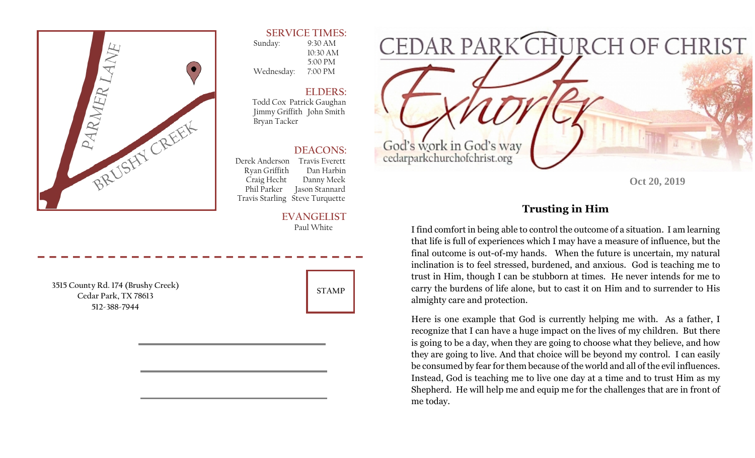

### **SERVICE TIMES:**

 Sunday: 9:30 AM 10:30 AM 5:00 PM Wednesday: 7:00 PM

### **ELDERS:**

 Todd Cox Patrick Gaughan Jimmy Griffith John Smith Bryan Tacker

## **DEACONS:**

 Derek Anderson Travis Everett Ryan Griffith Dan Harbin Craig Hecht Danny Meek Phil Parker Jason Stannard Travis Starling Steve Turquette

#### **EVANGELIST** Paul White

**3515 County Rd. 174 (Brushy Creek) Cedar Park, TX 78613 512-388-7944** 





**Oct 20, 2019** 

# **Trusting in Him**

I find comfort in being able to control the outcome of a situation. I am learning that life is full of experiences which I may have a measure of influence, but the final outcome is out-of-my hands. When the future is uncertain, my natural inclination is to feel stressed, burdened, and anxious. God is teaching me to trust in Him, though I can be stubborn at times. He never intends for me to carry the burdens of life alone, but to cast it on Him and to surrender to His almighty care and protection.

Here is one example that God is currently helping me with. As a father, I recognize that I can have a huge impact on the lives of my children. But there is going to be a day, when they are going to choose what they believe, and how they are going to live. And that choice will be beyond my control. I can easily be consumed by fear for them because of the world and all of the evil influences. Instead, God is teaching me to live one day at a time and to trust Him as my Shepherd. He will help me and equip me for the challenges that are in front of me today.